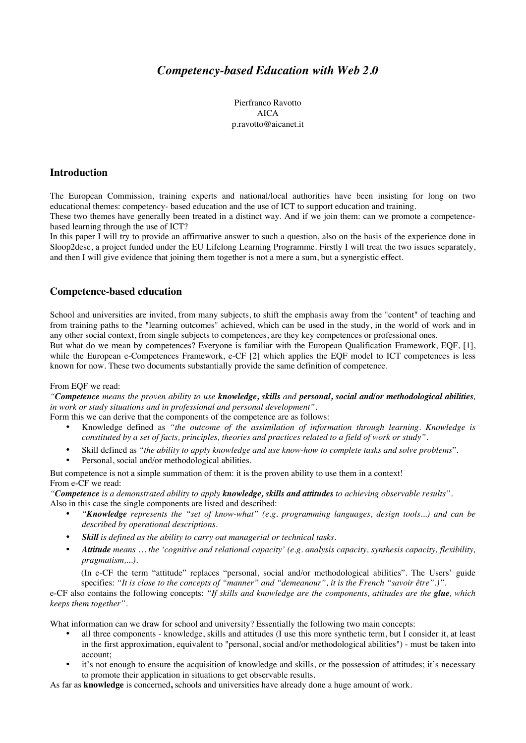# *Competency-based Education with Web 2.0*

Pierfranco Ravotto AICA p.ravotto@aicanet.it

### **Introduction**

The European Commission, training experts and national/local authorities have been insisting for long on two educational themes: competency- based education and the use of ICT to support education and training.

These two themes have generally been treated in a distinct way. And if we join them: can we promote a competencebased learning through the use of ICT?

In this paper I will try to provide an affirmative answer to such a question, also on the basis of the experience done in Sloop2desc, a project funded under the EU Lifelong Learning Programme. Firstly I will treat the two issues separately, and then I will give evidence that joining them together is not a mere a sum, but a synergistic effect.

# **Competence-based education**

School and universities are invited, from many subjects, to shift the emphasis away from the "content" of teaching and from training paths to the "learning outcomes" achieved, which can be used in the study, in the world of work and in any other social context, from single subjects to competences, are they key competences or professional ones. But what do we mean by competences? Everyone is familiar with the European Qualification Framework, EQF, [1], while the European e-Competences Framework, e-CF [2] which applies the EQF model to ICT competences is less known for now. These two documents substantially provide the same definition of competence.

#### From EQF we read:

*"Competence means the proven ability to use knowledge, skills and personal, social and/or methodological abilities, in work or study situations and in professional and personal development".*

Form this we can derive that the components of the competence are as follows:

- Knowledge defined as *"the outcome of the assimilation of information through learning. Knowledge is constituted by a set of facts, principles, theories and practices related to a field of work or study".*
- Skill defined as *"the ability to apply knowledge and use know-how to complete tasks and solve problems*".
- Personal, social and/or methodological abilities.

But competence is not a simple summation of them: it is the proven ability to use them in a context! From e-CF we read:

*"Competence is a demonstrated ability to apply knowledge, skills and attitudes to achieving observable results".* Also in this case the single components are listed and described:

- *"Knowledge represents the "set of know-what" (e.g. programming languages, design tools...) and can be described by operational descriptions.*
- *Skill is defined as the ability to carry out managerial or technical tasks.*
- *Attitude means … the 'cognitive and relational capacity' (e.g. analysis capacity, synthesis capacity, flexibility, pragmatism,...).*

(In e-CF the term "attitude" replaces "personal, social and/or methodological abilities". The Users' guide specifies: *"It is close to the concepts of "manner" and "demeanour", it is the French "savoir être".)".*

e-CF also contains the following concepts: *"If skills and knowledge are the components, attitudes are the glue, which keeps them together".*

What information can we draw for school and university? Essentially the following two main concepts:

- all three components knowledge, skills and attitudes (I use this more synthetic term, but I consider it, at least in the first approximation, equivalent to "personal, social and/or methodological abilities") - must be taken into account;
- it's not enough to ensure the acquisition of knowledge and skills, or the possession of attitudes; it's necessary to promote their application in situations to get observable results.

As far as **knowledge** is concerned**,** schools and universities have already done a huge amount of work.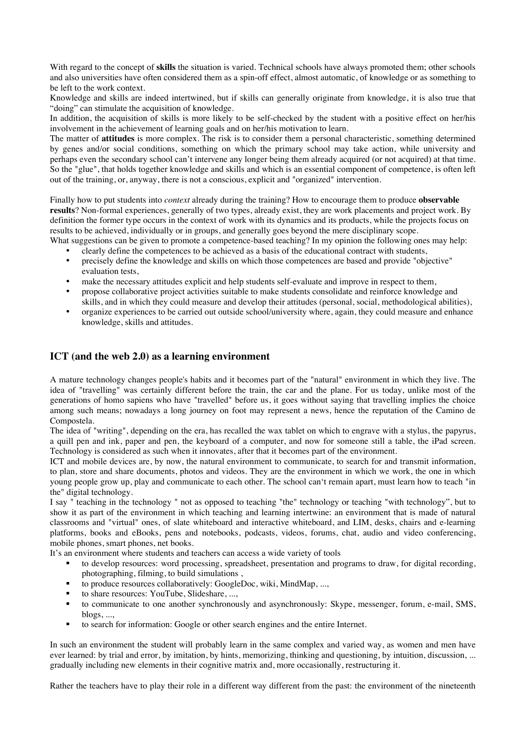With regard to the concept of **skills** the situation is varied. Technical schools have always promoted them; other schools and also universities have often considered them as a spin-off effect, almost automatic, of knowledge or as something to be left to the work context.

Knowledge and skills are indeed intertwined, but if skills can generally originate from knowledge, it is also true that "doing" can stimulate the acquisition of knowledge.

In addition, the acquisition of skills is more likely to be self-checked by the student with a positive effect on her/his involvement in the achievement of learning goals and on her/his motivation to learn.

The matter of **attitudes** is more complex. The risk is to consider them a personal characteristic, something determined by genes and/or social conditions, something on which the primary school may take action, while university and perhaps even the secondary school can't intervene any longer being them already acquired (or not acquired) at that time. So the "glue", that holds together knowledge and skills and which is an essential component of competence, is often left out of the training, or, anyway, there is not a conscious, explicit and "organized" intervention.

Finally how to put students into *context* already during the training? How to encourage them to produce **observable results**? Non-formal experiences, generally of two types, already exist, they are work placements and project work. By definition the former type occurs in the context of work with its dynamics and its products, while the projects focus on results to be achieved, individually or in groups, and generally goes beyond the mere disciplinary scope. What suggestions can be given to promote a competence-based teaching? In my opinion the following ones may help:

- clearly define the competences to be achieved as a basis of the educational contract with students,<br>• precisely define the knowledge and skills on which those connectences are based and provide "objet
- precisely define the knowledge and skills on which those competences are based and provide "objective" evaluation tests,
- make the necessary attitudes explicit and help students self-evaluate and improve in respect to them,
- propose collaborative project activities suitable to make students consolidate and reinforce knowledge and skills, and in which they could measure and develop their attitudes (personal, social, methodological abilities),
- organize experiences to be carried out outside school/university where, again, they could measure and enhance knowledge, skills and attitudes.

# **ICT (and the web 2.0) as a learning environment**

A mature technology changes people's habits and it becomes part of the "natural" environment in which they live. The idea of "travelling" was certainly different before the train, the car and the plane. For us today, unlike most of the generations of homo sapiens who have "travelled" before us, it goes without saying that travelling implies the choice among such means; nowadays a long journey on foot may represent a news, hence the reputation of the Camino de Compostela.

The idea of "writing", depending on the era, has recalled the wax tablet on which to engrave with a stylus, the papyrus, a quill pen and ink, paper and pen, the keyboard of a computer, and now for someone still a table, the iPad screen. Technology is considered as such when it innovates, after that it becomes part of the environment.

ICT and mobile devices are, by now, the natural environment to communicate, to search for and transmit information, to plan, store and share documents, photos and videos. They are the environment in which we work, the one in which young people grow up, play and communicate to each other. The school can't remain apart, must learn how to teach "in the" digital technology.

I say " teaching in the technology " not as opposed to teaching "the" technology or teaching "with technology", but to show it as part of the environment in which teaching and learning intertwine: an environment that is made of natural classrooms and "virtual" ones, of slate whiteboard and interactive whiteboard, and LIM, desks, chairs and e-learning platforms, books and eBooks, pens and notebooks, podcasts, videos, forums, chat, audio and video conferencing, mobile phones, smart phones, net books.

It's an environment where students and teachers can access a wide variety of tools

- to develop resources: word processing, spreadsheet, presentation and programs to draw, for digital recording, photographing, filming, to build simulations ,
- to produce resources collaboratively: GoogleDoc, wiki, MindMap, ...,
- to share resources: YouTube, Slideshare, ...,
- to communicate to one another synchronously and asynchronously: Skype, messenger, forum, e-mail, SMS, blogs, ...,
- to search for information: Google or other search engines and the entire Internet.

In such an environment the student will probably learn in the same complex and varied way, as women and men have ever learned: by trial and error, by imitation, by hints, memorizing, thinking and questioning, by intuition, discussion, ... gradually including new elements in their cognitive matrix and, more occasionally, restructuring it.

Rather the teachers have to play their role in a different way different from the past: the environment of the nineteenth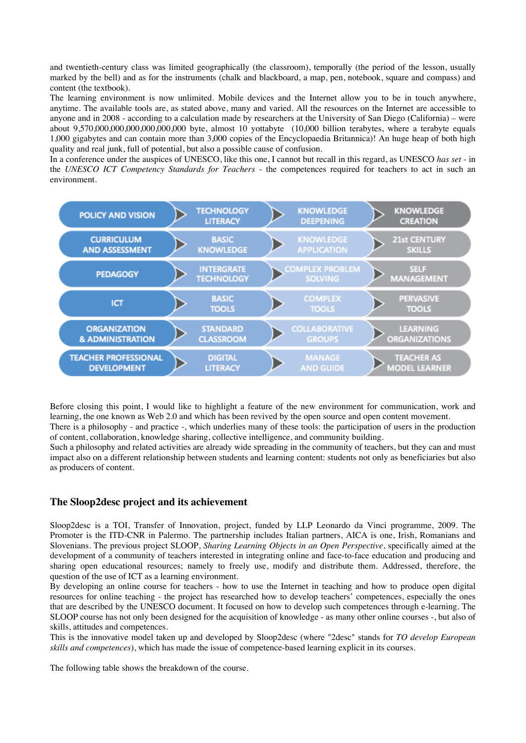and twentieth-century class was limited geographically (the classroom), temporally (the period of the lesson, usually marked by the bell) and as for the instruments (chalk and blackboard, a map, pen, notebook, square and compass) and content (the textbook).

The learning environment is now unlimited. Mobile devices and the Internet allow you to be in touch anywhere, anytime. The available tools are, as stated above, many and varied. All the resources on the Internet are accessible to anyone and in 2008 - according to a calculation made by researchers at the University of San Diego (California) – were about 9,570,000,000,000,000,000,000 byte, almost 10 yottabyte (10,000 billion terabytes, where a terabyte equals 1,000 gigabytes and can contain more than 3,000 copies of the Encyclopaedia Britannica)! An huge heap of both high quality and real junk, full of potential, but also a possible cause of confusion.

In a conference under the auspices of UNESCO, like this one, I cannot but recall in this regard, as UNESCO *has set* - in the *UNESCO ICT Competency Standards for Teachers* - the competences required for teachers to act in such an environment.



Before closing this point, I would like to highlight a feature of the new environment for communication, work and learning, the one known as Web 2.0 and which has been revived by the open source and open content movement. There is a philosophy - and practice -, which underlies many of these tools: the participation of users in the production of content, collaboration, knowledge sharing, collective intelligence, and community building.

Such a philosophy and related activities are already wide spreading in the community of teachers, but they can and must impact also on a different relationship between students and learning content: students not only as beneficiaries but also as producers of content.

### **The Sloop2desc project and its achievement**

Sloop2desc is a TOI, Transfer of Innovation, project, funded by LLP Leonardo da Vinci programme, 2009. The Promoter is the ITD-CNR in Palermo. The partnership includes Italian partners, AICA is one, Irish, Romanians and Slovenians. The previous project SLOOP, *Sharing Learning Objects in an Open Perspective*, specifically aimed at the development of a community of teachers interested in integrating online and face-to-face education and producing and sharing open educational resources; namely to freely use, modify and distribute them. Addressed, therefore, the question of the use of ICT as a learning environment.

By developing an online course for teachers - how to use the Internet in teaching and how to produce open digital resources for online teaching - the project has researched how to develop teachers' competences, especially the ones that are described by the UNESCO document. It focused on how to develop such competences through e-learning. The SLOOP course has not only been designed for the acquisition of knowledge - as many other online courses -, but also of skills, attitudes and competences.

This is the innovative model taken up and developed by Sloop2desc (where "2desc" stands for *TO develop European skills and competences*), which has made the issue of competence-based learning explicit in its courses.

The following table shows the breakdown of the course.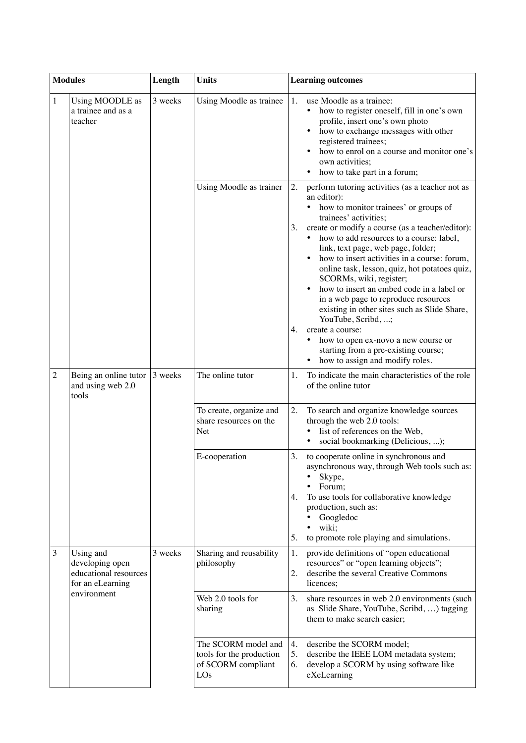| <b>Modules</b> |                                                                                          | Length  | <b>Units</b>                                                                        |                | <b>Learning outcomes</b>                                                                                                                                                                                                                                                                                                                                                                                                                                                                                                                                                                                                                                                                                       |  |  |
|----------------|------------------------------------------------------------------------------------------|---------|-------------------------------------------------------------------------------------|----------------|----------------------------------------------------------------------------------------------------------------------------------------------------------------------------------------------------------------------------------------------------------------------------------------------------------------------------------------------------------------------------------------------------------------------------------------------------------------------------------------------------------------------------------------------------------------------------------------------------------------------------------------------------------------------------------------------------------------|--|--|
| 1              | Using MOODLE as<br>a trainee and as a<br>teacher                                         | 3 weeks | Using Moodle as trainee                                                             | 1.             | use Moodle as a trainee:<br>how to register oneself, fill in one's own<br>٠<br>profile, insert one's own photo<br>how to exchange messages with other<br>٠<br>registered trainees;<br>how to enrol on a course and monitor one's<br>own activities;<br>how to take part in a forum;                                                                                                                                                                                                                                                                                                                                                                                                                            |  |  |
|                |                                                                                          |         | Using Moodle as trainer                                                             | 2.<br>3.<br>4. | perform tutoring activities (as a teacher not as<br>an editor):<br>how to monitor trainees' or groups of<br>٠<br>trainees' activities;<br>create or modify a course (as a teacher/editor):<br>how to add resources to a course: label,<br>link, text page, web page, folder;<br>how to insert activities in a course: forum,<br>online task, lesson, quiz, hot potatoes quiz,<br>SCORMs, wiki, register;<br>how to insert an embed code in a label or<br>in a web page to reproduce resources<br>existing in other sites such as Slide Share,<br>YouTube, Scribd, ;<br>create a course:<br>how to open ex-novo a new course or<br>starting from a pre-existing course;<br>how to assign and modify roles.<br>٠ |  |  |
| $\overline{c}$ | Being an online tutor<br>and using web 2.0<br>tools                                      | 3 weeks | The online tutor                                                                    | 1.             | To indicate the main characteristics of the role<br>of the online tutor                                                                                                                                                                                                                                                                                                                                                                                                                                                                                                                                                                                                                                        |  |  |
|                |                                                                                          |         | To create, organize and<br>share resources on the<br>Net                            | 2.             | To search and organize knowledge sources<br>through the web 2.0 tools:<br>list of references on the Web,<br>social bookmarking (Delicious, );<br>٠                                                                                                                                                                                                                                                                                                                                                                                                                                                                                                                                                             |  |  |
|                |                                                                                          |         | E-cooperation                                                                       | 3.<br>4.<br>5. | to cooperate online in synchronous and<br>asynchronous way, through Web tools such as:<br>Skype,<br>Forum;<br>To use tools for collaborative knowledge<br>production, such as:<br>Googledoc<br>wiki;<br>to promote role playing and simulations.                                                                                                                                                                                                                                                                                                                                                                                                                                                               |  |  |
| 3              | Using and<br>developing open<br>educational resources<br>for an eLearning<br>environment | 3 weeks | Sharing and reusability<br>philosophy                                               | 1.<br>2.       | provide definitions of "open educational<br>resources" or "open learning objects";<br>describe the several Creative Commons<br>licences;                                                                                                                                                                                                                                                                                                                                                                                                                                                                                                                                                                       |  |  |
|                |                                                                                          |         | Web 2.0 tools for<br>sharing                                                        | 3.             | share resources in web 2.0 environments (such<br>as Slide Share, YouTube, Scribd,  ) tagging<br>them to make search easier;                                                                                                                                                                                                                                                                                                                                                                                                                                                                                                                                                                                    |  |  |
|                |                                                                                          |         | The SCORM model and<br>tools for the production<br>of SCORM compliant<br>$\rm{LOS}$ | 4.<br>5.<br>6. | describe the SCORM model;<br>describe the IEEE LOM metadata system;<br>develop a SCORM by using software like<br>eXeLearning                                                                                                                                                                                                                                                                                                                                                                                                                                                                                                                                                                                   |  |  |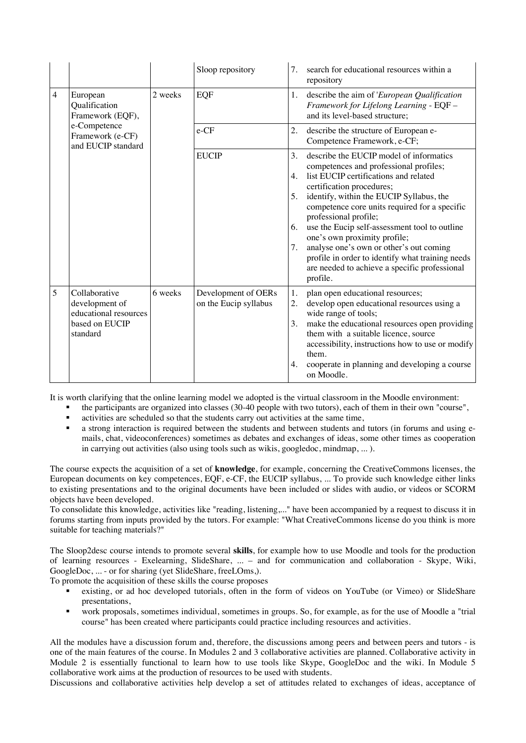|   |                                                                                                         |         | Sloop repository                             | $7_{\scriptscriptstyle{\ddots}}$                     | search for educational resources within a<br>repository                                                                                                                                                                                                                                                                                                                                                                                                                                                                    |
|---|---------------------------------------------------------------------------------------------------------|---------|----------------------------------------------|------------------------------------------------------|----------------------------------------------------------------------------------------------------------------------------------------------------------------------------------------------------------------------------------------------------------------------------------------------------------------------------------------------------------------------------------------------------------------------------------------------------------------------------------------------------------------------------|
| 4 | European<br>Qualification<br>Framework (EQF),<br>e-Competence<br>Framework (e-CF)<br>and EUCIP standard | 2 weeks | <b>EQF</b>                                   | 1.                                                   | describe the aim of 'European Qualification<br>Framework for Lifelong Learning - EQF -<br>and its level-based structure;                                                                                                                                                                                                                                                                                                                                                                                                   |
|   |                                                                                                         |         | $e$ -CF                                      | 2.                                                   | describe the structure of European e-<br>Competence Framework, e-CF;                                                                                                                                                                                                                                                                                                                                                                                                                                                       |
|   |                                                                                                         |         | <b>EUCIP</b>                                 | $\mathbf{3}$ .<br>$\overline{4}$ .<br>5.<br>6.<br>7. | describe the EUCIP model of informatics<br>competences and professional profiles;<br>list EUCIP certifications and related<br>certification procedures;<br>identify, within the EUCIP Syllabus, the<br>competence core units required for a specific<br>professional profile;<br>use the Eucip self-assessment tool to outline<br>one's own proximity profile;<br>analyse one's own or other's out coming<br>profile in order to identify what training needs<br>are needed to achieve a specific professional<br>profile. |
| 5 | Collaborative<br>development of<br>educational resources<br>based on EUCIP<br>standard                  | 6 weeks | Development of OERs<br>on the Eucip syllabus | 1.<br>2.<br>3.<br>4.                                 | plan open educational resources;<br>develop open educational resources using a<br>wide range of tools;<br>make the educational resources open providing<br>them with a suitable licence, source<br>accessibility, instructions how to use or modify<br>them.<br>cooperate in planning and developing a course<br>on Moodle.                                                                                                                                                                                                |

It is worth clarifying that the online learning model we adopted is the virtual classroom in the Moodle environment:

- the participants are organized into classes (30-40 people with two tutors), each of them in their own "course",
- activities are scheduled so that the students carry out activities at the same time,
- a strong interaction is required between the students and between students and tutors (in forums and using emails, chat, videoconferences) sometimes as debates and exchanges of ideas, some other times as cooperation in carrying out activities (also using tools such as wikis, googledoc, mindmap, ... ).

The course expects the acquisition of a set of **knowledge**, for example, concerning the CreativeCommons licenses, the European documents on key competences, EQF, e-CF, the EUCIP syllabus, ... To provide such knowledge either links to existing presentations and to the original documents have been included or slides with audio, or videos or SCORM objects have been developed.

To consolidate this knowledge, activities like "reading, listening,..." have been accompanied by a request to discuss it in forums starting from inputs provided by the tutors. For example: "What CreativeCommons license do you think is more suitable for teaching materials?"

The Sloop2desc course intends to promote several **skills**, for example how to use Moodle and tools for the production of learning resources - Exelearning, SlideShare, ... – and for communication and collaboration - Skype, Wiki, GoogleDoc, ... - or for sharing (yet SlideShare, freeLOms,).

To promote the acquisition of these skills the course proposes

- existing, or ad hoc developed tutorials, often in the form of videos on YouTube (or Vimeo) or SlideShare presentations,
- work proposals, sometimes individual, sometimes in groups. So, for example, as for the use of Moodle a "trial course" has been created where participants could practice including resources and activities.

All the modules have a discussion forum and, therefore, the discussions among peers and between peers and tutors - is one of the main features of the course. In Modules 2 and 3 collaborative activities are planned. Collaborative activity in Module 2 is essentially functional to learn how to use tools like Skype, GoogleDoc and the wiki. In Module 5 collaborative work aims at the production of resources to be used with students.

Discussions and collaborative activities help develop a set of attitudes related to exchanges of ideas, acceptance of